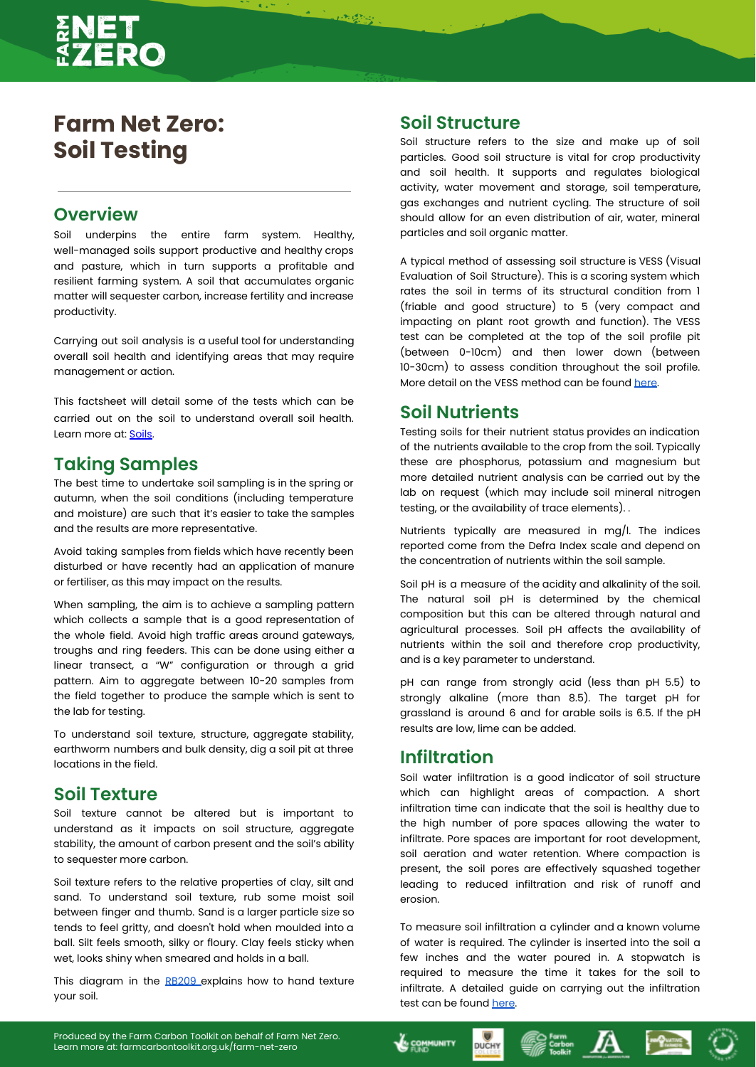# **Farm Net Zero: Soil Testing**

## **Overview**

Soil underpins the entire farm system. Healthy, well-managed soils support productive and healthy crops and pasture, which in turn supports a profitable and resilient farming system. A soil that accumulates organic matter will sequester carbon, increase fertility and increase productivity.

Carrying out soil analysis is a useful tool for understanding overall soil health and identifying areas that may require management or action.

This factsheet will detail some of the tests which can be carried out on the soil to understand overall soil health. Learn more at: [Soils](https://farmcarbontoolkit.org.uk/toolkit/farm-ghgs/soil/).

### **Taking Samples**

The best time to undertake soil sampling is in the spring or autumn, when the soil conditions (including temperature and moisture) are such that it's easier to take the samples and the results are more representative.

Avoid taking samples from fields which have recently been disturbed or have recently had an application of manure or fertiliser, as this may impact on the results.

When sampling, the aim is to achieve a sampling pattern which collects a sample that is a good representation of the whole field. Avoid high traffic areas around gateways, troughs and ring feeders. This can be done using either a linear transect, a "W" configuration or through a grid pattern. Aim to aggregate between 10-20 samples from the field together to produce the sample which is sent to the lab for testing.

To understand soil texture, structure, aggregate stability, earthworm numbers and bulk density, dig a soil pit at three locations in the field.

### **Soil Texture**

Soil texture cannot be altered but is important to understand as it impacts on soil structure, aggregate stability, the amount of carbon present and the soil's ability to sequester more carbon.

Soil texture refers to the relative properties of clay, silt and sand. To understand soil texture, rub some moist soil between finger and thumb. Sand is a larger particle size so tends to feel gritty, and doesn't hold when moulded into a ball. Silt feels smooth, silky or floury. Clay feels sticky when wet, looks shiny when smeared and holds in a ball.

This diagram in the [RB209](https://ahdb.org.uk/knowledge-library/rb209-section-1-principles-of-nutrient-management-and-fertiliser-use) explains how to hand texture your soil.

### **Soil Structure**

 $1.35$  ( $2.42$ )

Soil structure refers to the size and make up of soil particles. Good soil structure is vital for crop productivity and soil health. It supports and regulates biological activity, water movement and storage, soil temperature, gas exchanges and nutrient cycling. The structure of soil should allow for an even distribution of air, water, mineral particles and soil organic matter.

A typical method of assessing soil structure is VESS (Visual Evaluation of Soil Structure). This is a scoring system which rates the soil in terms of its structural condition from 1 (friable and good structure) to 5 (very compact and impacting on plant root growth and function). The VESS test can be completed at the top of the soil profile pit (between 0-10cm) and then lower down (between 10-30cm) to assess condition throughout the soil profile. More detail on the VESS method can be found [here](https://www.swarmhub.co.uk/soil-management/soil-structure/).

### **Soil Nutrients**

Testing soils for their nutrient status provides an indication of the nutrients available to the crop from the soil. Typically these are phosphorus, potassium and magnesium but more detailed nutrient analysis can be carried out by the lab on request (which may include soil mineral nitrogen testing, or the availability of trace elements). .

Nutrients typically are measured in mg/l. The indices reported come from the Defra Index scale and depend on the concentration of nutrients within the soil sample.

Soil pH is a measure of the acidity and alkalinity of the soil. The natural soil pH is determined by the chemical composition but this can be altered through natural and agricultural processes. Soil pH affects the availability of nutrients within the soil and therefore crop productivity, and is a key parameter to understand.

pH can range from strongly acid (less than pH 5.5) to strongly alkaline (more than 8.5). The target pH for grassland is around 6 and for arable soils is 6.5. If the pH results are low, lime can be added.

## **Infiltration**

**LE COMMUNITY** 

**DUCHY** 

Soil water infiltration is a good indicator of soil structure which can highlight areas of compaction. A short infiltration time can indicate that the soil is healthy due to the high number of pore spaces allowing the water to infiltrate. Pore spaces are important for root development, soil aeration and water retention. Where compaction is present, the soil pores are effectively squashed together leading to reduced infiltration and risk of runoff and erosion.

To measure soil infiltration a cylinder and a known volume of water is required. The cylinder is inserted into the soil a few inches and the water poured in. A stopwatch is required to measure the time it takes for the soil to infiltrate. A detailed guide on carrying out the infiltration test can be found [here](https://www.nrcs.usda.gov/Internet/FSE_DOCUMENTS/nrcs142p2_051576.pdf).

 $\mathbb{R}^{\frac{\text{form}}{\text{Carton}}}$   $\mathbb{A}$